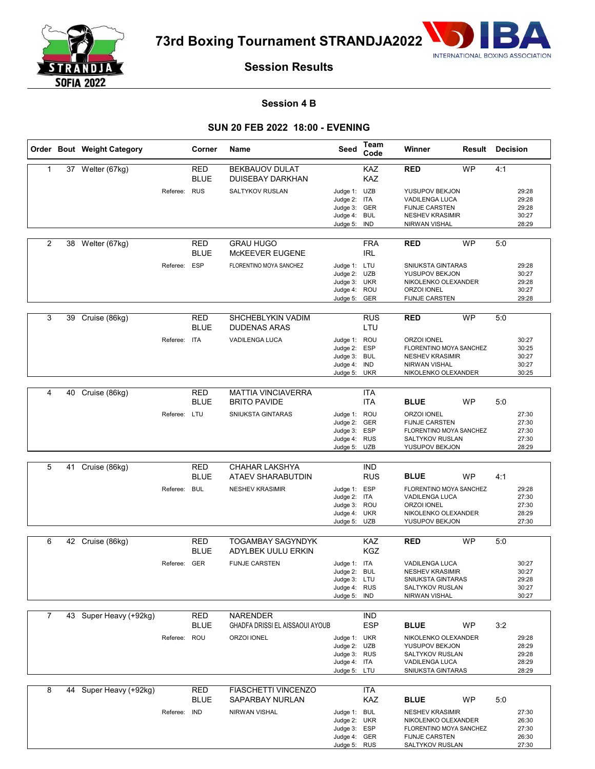

**73rd Boxing Tournament STRANDJA2022**



## **Session Results**

#### **Session 4 B**

### **SUN 20 FEB 2022 18:00 - EVENING**

|                |    | Order Bout Weight Category    |              | Corner                    | Name                                             | Seed                                                                         | Team<br>Code             | Winner                                                                                                                 | <b>Result Decision</b> |     |                                           |
|----------------|----|-------------------------------|--------------|---------------------------|--------------------------------------------------|------------------------------------------------------------------------------|--------------------------|------------------------------------------------------------------------------------------------------------------------|------------------------|-----|-------------------------------------------|
| $\mathbf{1}$   |    | 37 Welter (67kg)              |              | RED<br><b>BLUE</b>        | <b>BEKBAUOV DULAT</b><br><b>DUISEBAY DARKHAN</b> |                                                                              | KAZ<br>KAZ               | <b>RED</b>                                                                                                             | <b>WP</b>              | 4:1 |                                           |
|                |    |                               | Referee: RUS |                           | SALTYKOV RUSLAN                                  | Judge 1: UZB<br>Judge 2: ITA<br>Judge 3: GER<br>Judge 4: BUL<br>Judge 5:     | IND                      | YUSUPOV BEKJON<br>VADILENGA LUCA<br><b>FIJNJE CARSTEN</b><br><b>NESHEV KRASIMIR</b><br>NIRWAN VISHAL                   |                        |     | 29:28<br>29:28<br>29:28<br>30:27<br>28:29 |
| 2              |    | 38 Welter (67kg)              |              | <b>RED</b><br><b>BLUE</b> | <b>GRAU HUGO</b><br>McKEEVER EUGENE              |                                                                              | <b>FRA</b><br><b>IRL</b> | <b>RED</b>                                                                                                             | <b>WP</b>              | 5:0 |                                           |
|                |    |                               | Referee:     | ESP                       | FLORENTINO MOYA SANCHEZ                          | Judge 1: LTU<br>Judge 2: UZB<br>Judge 3: UKR<br>Judge 4: ROU<br>Judge 5: GER |                          | SNIUKSTA GINTARAS<br>YUSUPOV BEKJON<br>NIKOLENKO OLEXANDER<br>ORZOI IONEL<br><b>FIJNJE CARSTEN</b>                     |                        |     | 29:28<br>30:27<br>29:28<br>30:27<br>29:28 |
| 3              |    | 39 Cruise (86kg)              |              | RED<br><b>BLUE</b>        | SHCHEBLYKIN VADIM<br><b>DUDENAS ARAS</b>         |                                                                              | <b>RUS</b><br>LTU        | <b>RED</b>                                                                                                             | <b>WP</b>              | 5:0 |                                           |
|                |    |                               | Referee:     | <b>ITA</b>                | <b>VADILENGA LUCA</b>                            | Judge 1: ROU<br>Judge 2: ESP<br>Judge 3: BUL<br>Judge 4: IND<br>Judge 5: UKR |                          | <b>ORZOI IONEL</b><br>FLORENTINO MOYA SANCHEZ<br><b>NESHEV KRASIMIR</b><br><b>NIRWAN VISHAL</b><br>NIKOLENKO OLEXANDER |                        |     | 30:27<br>30:25<br>30:27<br>30:27<br>30:25 |
|                |    |                               |              |                           |                                                  |                                                                              |                          |                                                                                                                        |                        |     |                                           |
| 4              | 40 | Cruise (86kg)                 |              | <b>RED</b><br><b>BLUE</b> | <b>MATTIA VINCIAVERRA</b><br><b>BRITO PAVIDE</b> |                                                                              | <b>ITA</b><br><b>ITA</b> | <b>BLUE</b>                                                                                                            | <b>WP</b>              | 5:0 |                                           |
|                |    |                               | Referee: LTU |                           | <b>SNIUKSTA GINTARAS</b>                         | Judge 1: ROU<br>Judge 2: GER<br>Judge 3: ESP<br>Judge 4: RUS<br>Judge 5: UZB |                          | ORZOI IONEL<br><b>FIJNJE CARSTEN</b><br>FLORENTINO MOYA SANCHEZ<br>SALTYKOV RUSLAN<br>YUSUPOV BEKJON                   |                        |     | 27:30<br>27:30<br>27:30<br>27:30<br>28:29 |
|                |    |                               |              |                           |                                                  |                                                                              |                          |                                                                                                                        |                        |     |                                           |
| 5              | 41 | Cruise (86kg)                 |              | <b>RED</b><br><b>BLUE</b> | CHAHAR LAKSHYA<br>ATAEV SHARABUTDIN              |                                                                              | <b>IND</b><br><b>RUS</b> | <b>BLUE</b>                                                                                                            | <b>WP</b>              | 4:1 |                                           |
|                |    |                               | Referee:     | <b>BUL</b>                | <b>NESHEV KRASIMIR</b>                           | Judge 1: ESP<br>Judge 2: ITA<br>Judge 3: ROU<br>Judge 4: UKR<br>Judge 5: UZB |                          | FLORENTINO MOYA SANCHEZ<br>VADILENGA LUCA<br>ORZOI IONEL<br>NIKOLENKO OLEXANDER<br>YUSUPOV BEKJON                      |                        |     | 29:28<br>27:30<br>27:30<br>28:29<br>27:30 |
| 6              |    | $\overline{42}$ Cruise (86kg) |              | RED                       | <b>TOGAMBAY SAGYNDYK</b>                         |                                                                              | KAZ                      | <b>RED</b>                                                                                                             | <b>WP</b>              | 5:0 |                                           |
|                |    |                               |              | <b>BLUE</b>               | ADYLBEK UULU ERKIN                               |                                                                              | <b>KGZ</b>               |                                                                                                                        |                        |     |                                           |
|                |    |                               | Referee: GER |                           | <b>FIJNJE CARSTEN</b>                            | Judge 1: ITA<br>Judge 2: BUL<br>Judge 3: LTU<br>Judge 4: RUS<br>Judge 5: IND |                          | <b>VADILENGA LUCA</b><br><b>NESHEV KRASIMIR</b><br>SNIUKSTA GINTARAS<br>SALTYKOV RUSLAN<br>NIRWAN VISHAL               |                        |     | 30:27<br>30:27<br>29:28<br>30:27<br>30:27 |
| $\overline{7}$ |    | 43 Super Heavy (+92kg)        |              | RED                       | <b>NARENDER</b>                                  |                                                                              | IND                      |                                                                                                                        |                        |     |                                           |
|                |    |                               |              | <b>BLUE</b>               | <b>GHADFA DRISSI EL AISSAOUI AYOUB</b>           |                                                                              | <b>ESP</b>               | <b>BLUE</b>                                                                                                            | <b>WP</b>              | 3:2 |                                           |
|                |    |                               | Referee:     | ROU                       | ORZOI IONEL                                      | Judge 1: UKR<br>Judge 2: UZB<br>Judge 3: RUS<br>Judge 4: ITA<br>Judge 5: LTU |                          | NIKOLENKO OLEXANDER<br>YUSUPOV BEKJON<br><b>SALTYKOV RUSLAN</b><br>VADILENGA LUCA<br>SNIUKSTA GINTARAS                 |                        |     | 29:28<br>28:29<br>29:28<br>28:29<br>28:29 |
| 8              |    | 44 Super Heavy (+92kg)        |              | <b>RED</b><br><b>BLUE</b> | <b>FIASCHETTI VINCENZO</b><br>SAPARBAY NURLAN    |                                                                              | ITA<br>KAZ               | <b>BLUE</b>                                                                                                            | WP                     | 5:0 |                                           |
|                |    |                               | Referee: IND |                           | NIRWAN VISHAL                                    | Judge 1: BUL<br>Judge 2: UKR<br>Judge 3: ESP<br>Judge 4: GER<br>Judge 5: RUS |                          | <b>NESHEV KRASIMIR</b><br>NIKOLENKO OLEXANDER<br>FLORENTINO MOYA SANCHEZ<br><b>FIJNJE CARSTEN</b><br>SALTYKOV RUSLAN   |                        |     | 27:30<br>26:30<br>27:30<br>26:30<br>27:30 |